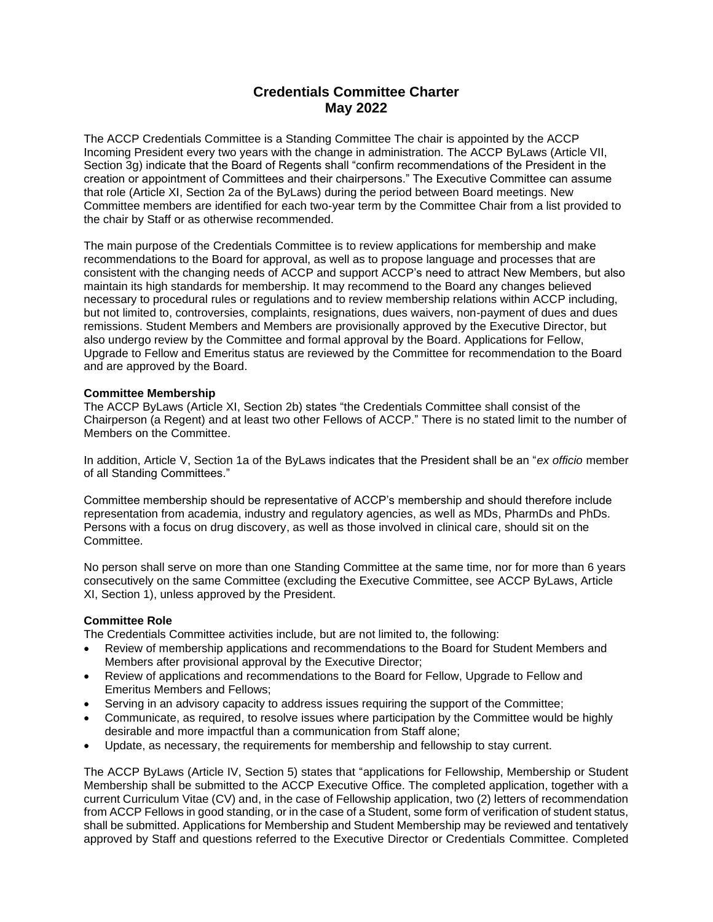# **Credentials Committee Charter May 2022**

The ACCP Credentials Committee is a Standing Committee The chair is appointed by the ACCP Incoming President every two years with the change in administration. The ACCP ByLaws (Article VII, Section 3g) indicate that the Board of Regents shall "confirm recommendations of the President in the creation or appointment of Committees and their chairpersons." The Executive Committee can assume that role (Article XI, Section 2a of the ByLaws) during the period between Board meetings. New Committee members are identified for each two-year term by the Committee Chair from a list provided to the chair by Staff or as otherwise recommended.

The main purpose of the Credentials Committee is to review applications for membership and make recommendations to the Board for approval, as well as to propose language and processes that are consistent with the changing needs of ACCP and support ACCP's need to attract New Members, but also maintain its high standards for membership. It may recommend to the Board any changes believed necessary to procedural rules or regulations and to review membership relations within ACCP including, but not limited to, controversies, complaints, resignations, dues waivers, non-payment of dues and dues remissions. Student Members and Members are provisionally approved by the Executive Director, but also undergo review by the Committee and formal approval by the Board. Applications for Fellow, Upgrade to Fellow and Emeritus status are reviewed by the Committee for recommendation to the Board and are approved by the Board.

## **Committee Membership**

The ACCP ByLaws (Article XI, Section 2b) states "the Credentials Committee shall consist of the Chairperson (a Regent) and at least two other Fellows of ACCP." There is no stated limit to the number of Members on the Committee.

In addition, Article V, Section 1a of the ByLaws indicates that the President shall be an "*ex officio* member of all Standing Committees."

Committee membership should be representative of ACCP's membership and should therefore include representation from academia, industry and regulatory agencies, as well as MDs, PharmDs and PhDs. Persons with a focus on drug discovery, as well as those involved in clinical care, should sit on the Committee.

No person shall serve on more than one Standing Committee at the same time, nor for more than 6 years consecutively on the same Committee (excluding the Executive Committee, see ACCP ByLaws, Article XI, Section 1), unless approved by the President.

## **Committee Role**

The Credentials Committee activities include, but are not limited to, the following:

- Review of membership applications and recommendations to the Board for Student Members and Members after provisional approval by the Executive Director;
- Review of applications and recommendations to the Board for Fellow, Upgrade to Fellow and Emeritus Members and Fellows;
- Serving in an advisory capacity to address issues requiring the support of the Committee;
- Communicate, as required, to resolve issues where participation by the Committee would be highly desirable and more impactful than a communication from Staff alone;
- Update, as necessary, the requirements for membership and fellowship to stay current.

The ACCP ByLaws (Article IV, Section 5) states that "applications for Fellowship, Membership or Student Membership shall be submitted to the ACCP Executive Office. The completed application, together with a current Curriculum Vitae (CV) and, in the case of Fellowship application, two (2) letters of recommendation from ACCP Fellows in good standing, or in the case of a Student, some form of verification of student status, shall be submitted. Applications for Membership and Student Membership may be reviewed and tentatively approved by Staff and questions referred to the Executive Director or Credentials Committee. Completed